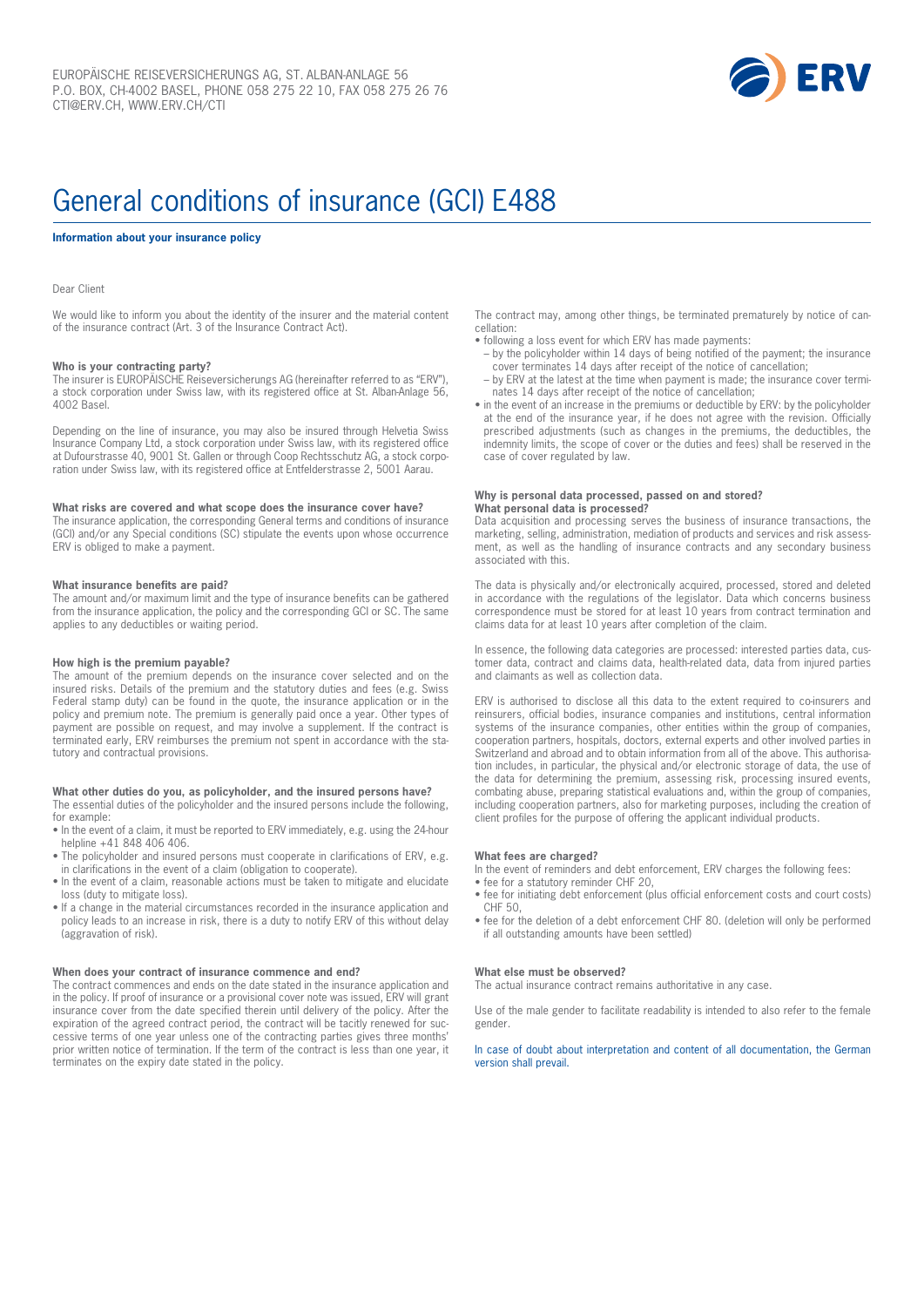

# General conditions of insurance (GCI) E488

#### **Information about your insurance policy**

#### Dear Client

We would like to inform you about the identity of the insurer and the material content of the insurance contract (Art. 3 of the Insurance Contract Act).

# **Who is your contracting party?**

The insurer is EUROPÄISCHE Reiseversicherungs AG (hereinafter referred to as "ERV"), a stock corporation under Swiss law, with its registered office at St. Alban-Anlage 56, 4002 Basel.

Depending on the line of insurance, you may also be insured through Helvetia Swiss Insurance Company Ltd, a stock corporation under Swiss law, with its registered office at Dufourstrasse 40, 9001 St. Gallen or through Coop Rechtsschutz AG, a stock corporation under Swiss law, with its registered office at Entfelderstrasse 2, 5001 Aarau.

#### **What risks are covered and what scope does the insurance cover have?**

The insurance application, the corresponding General terms and conditions of insurance (GCI) and/or any Special conditions (SC) stipulate the events upon whose occurrence ERV is obliged to make a payment.

#### **What insurance benefits are paid?**

The amount and/or maximum limit and the type of insurance benefits can be gathered from the insurance application, the policy and the corresponding GCI or SC. The same applies to any deductibles or waiting period.

#### **How high is the premium payable?**

The amount of the premium depends on the insurance cover selected and on the insured risks. Details of the premium and the statutory duties and fees (e.g. Swiss Federal stamp duty) can be found in the quote, the insurance application or in the policy and premium note. The premium is generally paid once a year. Other types of payment are possible on request, and may involve a supplement. If the contract is terminated early, ERV reimburses the premium not spent in accordance with the statutory and contractual provisions.

#### **What other duties do you, as policyholder, and the insured persons have?** The essential duties of the policyholder and the insured persons include the following,

for example: • In the event of a claim, it must be reported to ERV immediately, e.g. using the 24-hour

- helpline +41 848 406 406.
- The policyholder and insured persons must cooperate in clarifications of ERV, e.g. in clarifications in the event of a claim (obligation to cooperate).
- In the event of a claim, reasonable actions must be taken to mitigate and elucidate loss (duty to mitigate loss).
- If a change in the material circumstances recorded in the insurance application and policy leads to an increase in risk, there is a duty to notify ERV of this without delay (aggravation of risk).

#### **When does your contract of insurance commence and end?**

The contract commences and ends on the date stated in the insurance application and in the policy. If proof of insurance or a provisional cover note was issued, ERV will grant insurance cover from the date specified therein until delivery of the policy. After the expiration of the agreed contract period, the contract will be tacitly renewed for successive terms of one year unless one of the contracting parties gives three months' prior written notice of termination. If the term of the contract is less than one year, it terminates on the expiry date stated in the policy.

The contract may, among other things, be terminated prematurely by notice of cancellation:

- following a loss event for which ERV has made payments:
- by the policyholder within 14 days of being notified of the payment; the insurance cover terminates 14 days after receipt of the notice of cancellation;
- by ERV at the latest at the time when payment is made; the insurance cover terminates 14 days after receipt of the notice of cancellation;
- in the event of an increase in the premiums or deductible by ERV: by the policyholder at the end of the insurance year, if he does not agree with the revision. Officially prescribed adjustments (such as changes in the premiums, the deductibles, the indemnity limits, the scope of cover or the duties and fees) shall be reserved in the case of cover regulated by law.

#### **Why is personal data processed, passed on and stored? What personal data is processed?**

Data acquisition and processing serves the business of insurance transactions, the marketing, selling, administration, mediation of products and services and risk assessment, as well as the handling of insurance contracts and any secondary business associated with this.

The data is physically and/or electronically acquired, processed, stored and deleted in accordance with the regulations of the legislator. Data which concerns business correspondence must be stored for at least 10 years from contract termination and claims data for at least 10 years after completion of the claim.

In essence, the following data categories are processed: interested parties data, customer data, contract and claims data, health-related data, data from injured parties and claimants as well as collection data.

ERV is authorised to disclose all this data to the extent required to co-insurers and reinsurers, official bodies, insurance companies and institutions, central information systems of the insurance companies, other entities within the group of companies, cooperation partners, hospitals, doctors, external experts and other involved parties in Switzerland and abroad and to obtain information from all of the above. This authorisation includes, in particular, the physical and/or electronic storage of data, the use of the data for determining the premium, assessing risk, processing insured events, combating abuse, preparing statistical evaluations and, within the group of companies, including cooperation partners, also for marketing purposes, including the creation of client profiles for the purpose of offering the applicant individual products.

#### **What fees are charged?**

In the event of reminders and debt enforcement, ERV charges the following fees:

- fee for a statutory reminder CHF 20.
- fee for initiating debt enforcement (plus official enforcement costs and court costs) CHF 50,
- fee for the deletion of a debt enforcement CHF 80. (deletion will only be performed if all outstanding amounts have been settled)

#### **What else must be observed?**

The actual insurance contract remains authoritative in any case.

Use of the male gender to facilitate readability is intended to also refer to the female gender.

# In case of doubt about interpretation and content of all documentation, the German version shall prevail.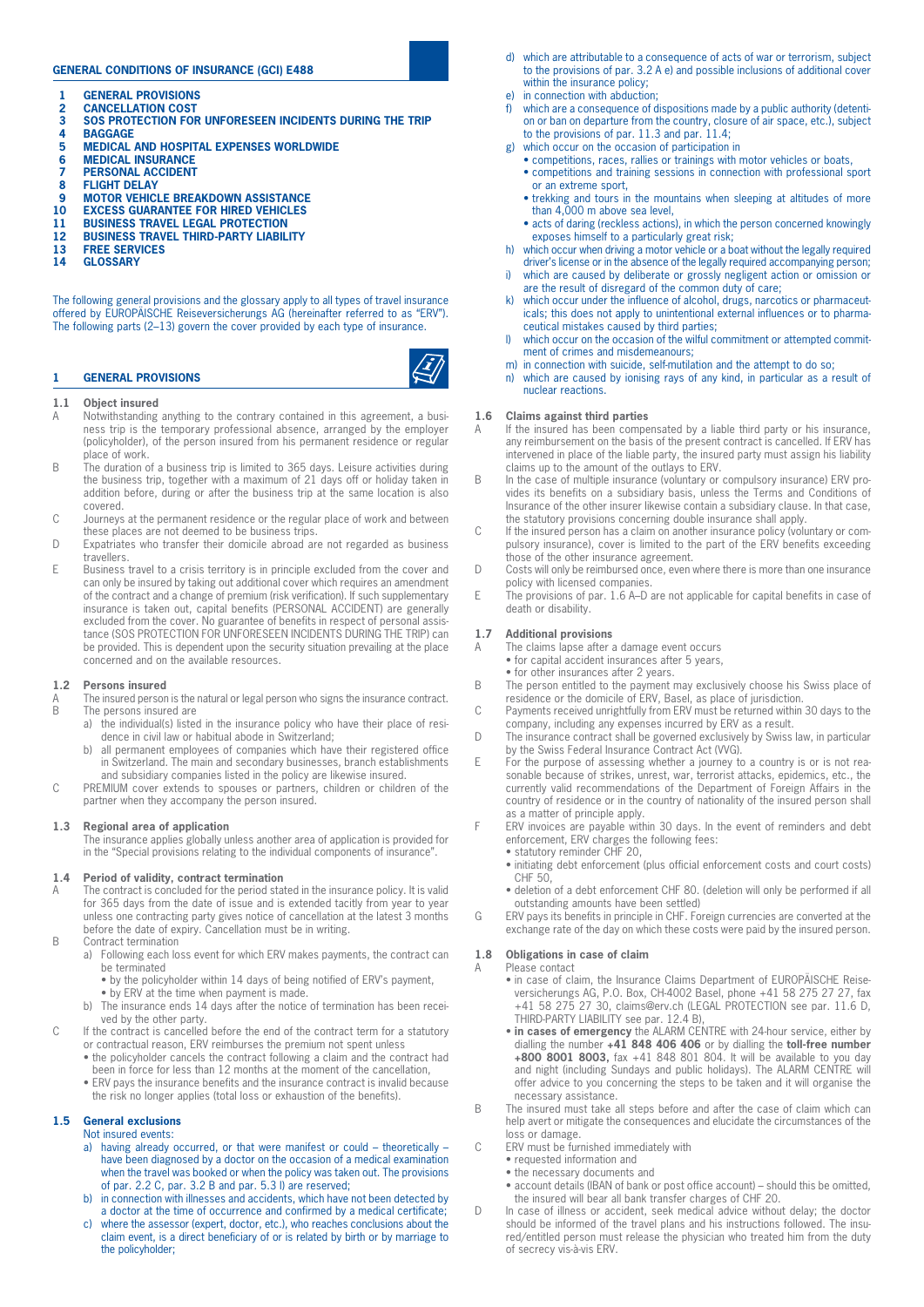# **GENERAL CONDITIONS OF INSURANCE (GCI) E488**

- **1 GENERAL PROVISIONS**
- **2 CANCELLATION COST**
- **3 SOS PROTECTION FOR UNFORESEEN INCIDENTS DURING THE TRIP**
- **4 BAGGAGE**
- **5 MEDICAL AND HOSPITAL EXPENSES WORLDWIDE**
- **6 MEDICAL INSURANCE 7 PERSONAL ACCIDENT**
- **8 FLIGHT DELAY**
- **9 MOTOR VEHICLE BREAKDOWN ASSISTANCE**
- **10 EXCESS GUARANTEE FOR HIRED VEHICLES**
- **11 BUSINESS TRAVEL LEGAL PROTECTION**
- **12 BUSINESS TRAVEL THIRD-PARTY LIABILITY**
- **13 FREE SERVICES**
- **14 GLOSSARY**

The following general provisions and the glossary apply to all types of travel insurance offered by EUROPÄISCHE Reiseversicherungs AG (hereinafter referred to as "ERV"). The following parts (2–13) govern the cover provided by each type of insurance.

# **1.1 Object insured**

**1 GENERAL PROVISIONS** 

- A Notwithstanding anything to the contrary contained in this agreement, a business trip is the temporary professional absence, arranged by the employer (policyholder), of the person insured from his permanent residence or regular place of work.
- B The duration of a business trip is limited to 365 days. Leisure activities during the business trip, together with a maximum of 21 days off or holiday taken in addition before, during or after the business trip at the same location is also covered.
- C Journeys at the permanent residence or the regular place of work and between these places are not deemed to be business trips.
- D Expatriates who transfer their domicile abroad are not regarded as business **travellers**
- E Business travel to a crisis territory is in principle excluded from the cover and can only be insured by taking out additional cover which requires an amendment of the contract and a change of premium (risk verification). If such supplementary insurance is taken out, capital benefits (PERSONAL ACCIDENT) are generally excluded from the cover. No guarantee of benefits in respect of personal assistance (SOS PROTECTION FOR UNFORESEEN INCIDENTS DURING THE TRIP) can be provided. This is dependent upon the security situation prevailing at the place concerned and on the available resources.

# **1.2 Persons insured**

- A The insured person is the natural or legal person who signs the insurance contract.<br>B The persons insured are The persons insured are
	- a) the individual(s) listed in the insurance policy who have their place of residence in civil law or habitual abode in Switzerland;
		- b) all permanent employees of companies which have their registered office in Switzerland. The main and secondary businesses, branch establishments and subsidiary companies listed in the policy are likewise insured.
- C PREMIUM cover extends to spouses or partners, children or children of the partner when they accompany the person insured.

# **1.3 Regional area of application**

The insurance applies globally unless another area of application is provided for in the "Special provisions relating to the individual components of insurance".

#### **1.4 Period of validity, contract termination**

- A The contract is concluded for the period stated in the insurance policy. It is valid for 365 days from the date of issue and is extended tacitly from year to year unless one contracting party gives notice of cancellation at the latest 3 months before the date of expiry. Cancellation must be in writing.
- B Contract termination
	- a) Following each loss event for which ERV makes payments, the contract can be terminated
		- by the policyholder within 14 days of being notified of ERV's payment,
		- by ERV at the time when payment is made.
	- b) The insurance ends 14 days after the notice of termination has been received by the other party.
- C If the contract is cancelled before the end of the contract term for a statutory or contractual reason, ERV reimburses the premium not spent unless
	- the policyholder cancels the contract following a claim and the contract had been in force for less than 12 months at the moment of the cancellation,
	- ERV pays the insurance benefits and the insurance contract is invalid because the risk no longer applies (total loss or exhaustion of the benefits).

# **1.5 General exclusions**

- Not insured events:
- a) having already occurred, or that were manifest or could theoretically have been diagnosed by a doctor on the occasion of a medical examination when the travel was booked or when the policy was taken out. The provisions of par. 2.2 C, par. 3.2 B and par. 5.3 l) are reserved;
- b) in connection with illnesses and accidents, which have not been detected by a doctor at the time of occurrence and confirmed by a medical certificate;
- where the assessor (expert, doctor, etc.), who reaches conclusions about the claim event, is a direct beneficiary of or is related by birth or by marriage to the policyholder;
- d) which are attributable to a consequence of acts of war or terrorism, subject to the provisions of par. 3.2 A e) and possible inclusions of additional cover within the insurance policy;
- e) in connection with abduction;
- which are a consequence of dispositions made by a public authority (detention or ban on departure from the country, closure of air space, etc.), subject to the provisions of par. 11.3 and par. 11.4;
- g) which occur on the occasion of participation in
	- competitions, races, rallies or trainings with motor vehicles or boats, • competitions and training sessions in connection with professional sport or an extreme sport,
	- trekking and tours in the mountains when sleeping at altitudes of more than 4,000 m above sea level,
	- acts of daring (reckless actions), in which the person concerned knowingly exposes himself to a particularly great risk;
- h) which occur when driving a motor vehicle or a boat without the legally required driver's license or in the absence of the legally required accompanying person;
- i) which are caused by deliberate or grossly negligent action or omission or are the result of disregard of the common duty of care;
- k) which occur under the influence of alcohol, drugs, narcotics or pharmaceuticals; this does not apply to unintentional external influences or to pharmaceutical mistakes caused by third parties;
- l) which occur on the occasion of the wilful commitment or attempted commitment of crimes and misdemeanours;
- m) in connection with suicide, self-mutilation and the attempt to do so;
- n) which are caused by ionising rays of any kind, in particular as a result of nuclear reactions.

# **1.6 Claims against third parties**<br>A If the insured has been compe

- If the insured has been compensated by a liable third party or his insurance, any reimbursement on the basis of the present contract is cancelled. If ERV has intervened in place of the liable party, the insured party must assign his liability claims up to the amount of the outlays to ERV.
- B In the case of multiple insurance (voluntary or compulsory insurance) ERV provides its benefits on a subsidiary basis, unless the Terms and Conditions of Insurance of the other insurer likewise contain a subsidiary clause. In that case, the statutory provisions concerning double insurance shall apply.
- C If the insured person has a claim on another insurance policy (voluntary or compulsory insurance), cover is limited to the part of the ERV benefits exceeding those of the other insurance agreement.
- D Costs will only be reimbursed once, even where there is more than one insurance policy with licensed companies.
- E The provisions of par. 1.6 A–D are not applicable for capital benefits in case of death or disability.

# **1.7 Additional provisions**

- A The claims lapse after a damage event occurs
	- for capital accident insurances after 5 years,
	- for other insurances after 2 years.
- B The person entitled to the payment may exclusively choose his Swiss place of residence or the domicile of ERV, Basel, as place of jurisdiction.
- C Payments received unrightfully from ERV must be returned within 30 days to the company, including any expenses incurred by ERV as a result.
- D The insurance contract shall be governed exclusively by Swiss law, in particular by the Swiss Federal Insurance Contract Act (VVG).
- E For the purpose of assessing whether a journey to a country is or is not reasonable because of strikes, unrest, war, terrorist attacks, epidemics, etc., the currently valid recommendations of the Department of Foreign Affairs in the country of residence or in the country of nationality of the insured person shall as a matter of principle apply.
- F ERV invoices are payable within 30 days. In the event of reminders and debt enforcement, ERV charges the following fees:
	- statutory reminder CHF 20,
	- initiating debt enforcement (plus official enforcement costs and court costs)  $CHF<sub>50</sub>$
	- deletion of a debt enforcement CHF 80. (deletion will only be performed if all outstanding amounts have been settled)
- G ERV pays its benefits in principle in CHF. Foreign currencies are converted at the exchange rate of the day on which these costs were paid by the insured person.

# **1.8 Obligations in case of claim**

- A Please contact
	- in case of claim, the Insurance Claims Department of EUROPÄISCHE Reiseversicherungs AG, P.O. Box, CH-4002 Basel, phone +41 58 275 27 27, fax +41 58 275 27 30, claims@erv.ch (LEGAL PROTECTION see par. 11.6 D, THIRD-PARTY LIABILITY see par. 12.4 B),
	- **in cases of emergency** the ALARM CENTRE with 24-hour service, either by dialling the number **+41 848 406 406** or by dialling the **toll-free number +800 8001 8003,** fax +41 848 801 804. It will be available to you day and night (including Sundays and public holidays). The ALARM CENTRE will offer advice to you concerning the steps to be taken and it will organise the necessary assistance.
- B The insured must take all steps before and after the case of claim which can help avert or mitigate the consequences and elucidate the circumstances of the loss or damage.
- C ERV must be furnished immediately with
	- requested information and
	- the necessary documents and
	- account details (IBAN of bank or post office account) should this be omitted, the insured will bear all bank transfer charges of CHF 20.
- D In case of illness or accident, seek medical advice without delay; the doctor should be informed of the travel plans and his instructions followed. The insured/entitled person must release the physician who treated him from the duty of secrecy vis-à-vis ERV.

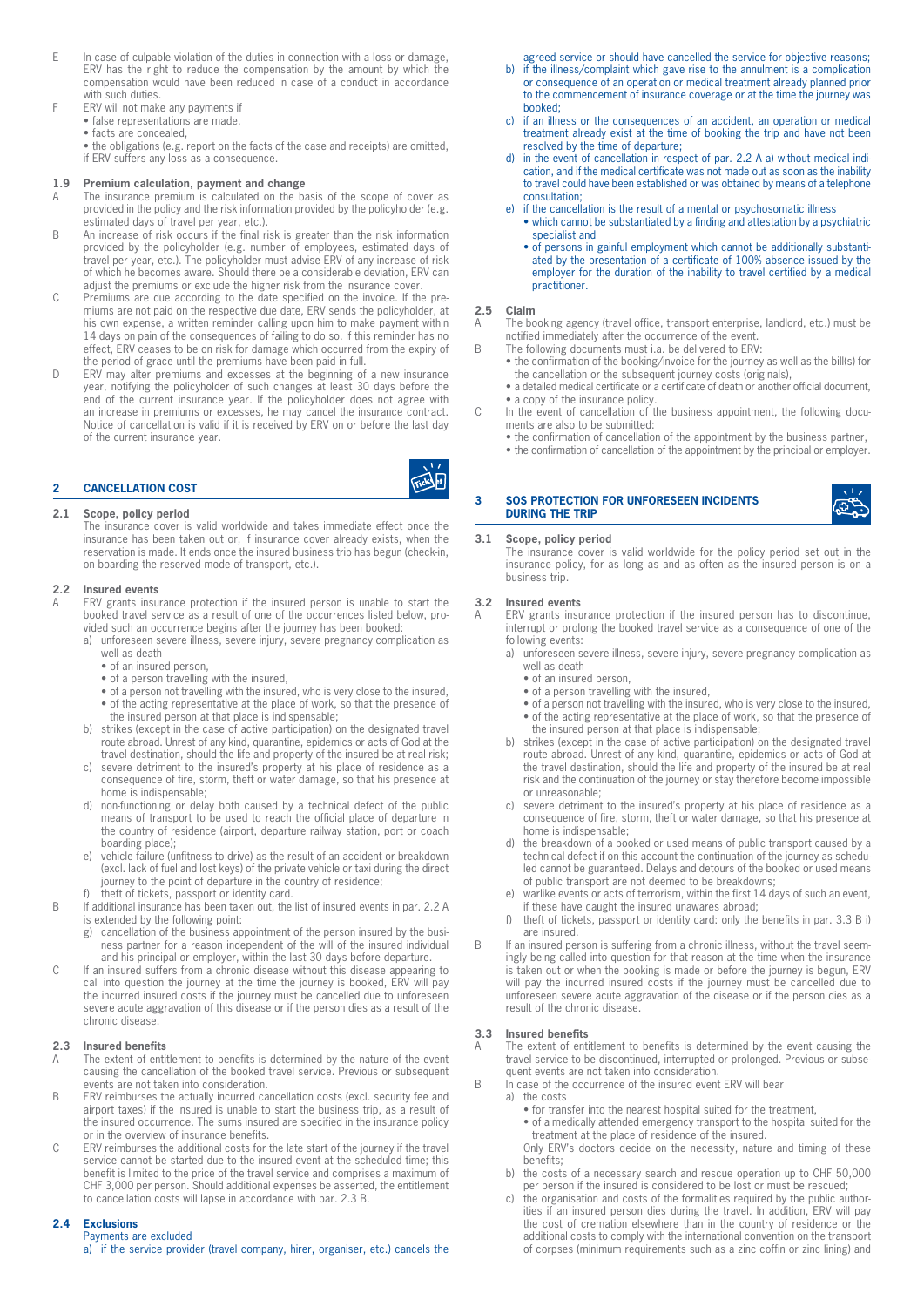- E In case of culpable violation of the duties in connection with a loss or damage, ERV has the right to reduce the compensation by the amount by which the compensation would have been reduced in case of a conduct in accordance with such duties.
- F ERV will not make any payments if
	- false representations are made,
	- facts are concealed,
	- the obligations (e.g. report on the facts of the case and receipts) are omitted, if ERV suffers any loss as a consequence.

# **1.9 Premium calculation, payment and change**

- A The insurance premium is calculated on the basis of the scope of cover as provided in the policy and the risk information provided by the policyholder (e.g. estimated days of travel per year, etc.).
- B An increase of risk occurs if the final risk is greater than the risk information provided by the policyholder (e.g. number of employees, estimated days of travel per year, etc.). The policyholder must advise ERV of any increase of risk of which he becomes aware. Should there be a considerable deviation, ERV can adjust the premiums or exclude the higher risk from the insurance cover.
- C Premiums are due according to the date specified on the invoice. If the premiums are not paid on the respective due date, ERV sends the policyholder, at his own expense, a written reminder calling upon him to make payment within 14 days on pain of the consequences of failing to do so. If this reminder has no effect, ERV ceases to be on risk for damage which occurred from the expiry of the period of grace until the premiums have been paid in full.
- D ERV may alter premiums and excesses at the beginning of a new insurance year, notifying the policyholder of such changes at least 30 days before the end of the current insurance year. If the policyholder does not agree with an increase in premiums or excesses, he may cancel the insurance contract. Notice of cancellation is valid if it is received by ERV on or before the last day of the current insurance year.



# **2.1 Scope, policy period**

The insurance cover is valid worldwide and takes immediate effect once the insurance has been taken out or, if insurance cover already exists, when the reservation is made. It ends once the insured business trip has begun (check-in, on boarding the reserved mode of transport, etc.).

# **2.2 Insured events**

ERV grants insurance protection if the insured person is unable to start the booked travel service as a result of one of the occurrences listed below, provided such an occurrence begins after the journey has been booked:

a) unforeseen severe illness, severe injury, severe pregnancy complication as well as death

- of an insured person,
- of a person travelling with the insured,
- of a person not travelling with the insured, who is very close to the insured, • of the acting representative at the place of work, so that the presence of the insured person at that place is indispensable;
- b) strikes (except in the case of active participation) on the designated travel route abroad. Unrest of any kind, quarantine, epidemics or acts of God at the travel destination, should the life and property of the insured be at real risk;
- c) severe detriment to the insured's property at his place of residence as a consequence of fire, storm, theft or water damage, so that his presence at home is indispensable;
- d) non-functioning or delay both caused by a technical defect of the public means of transport to be used to reach the official place of departure in the country of residence (airport, departure railway station, port or coach boarding place);
- e) vehicle failure (unfitness to drive) as the result of an accident or breakdown (excl. lack of fuel and lost keys) of the private vehicle or taxi during the direct journey to the point of departure in the country of residence;
- f) theft of tickets, passport or identity card.
- B If additional insurance has been taken out, the list of insured events in par. 2.2 A is extended by the following point:
	- g) cancellation of the business appointment of the person insured by the business partner for a reason independent of the will of the insured individual and his principal or employer, within the last 30 days before departure.
- C If an insured suffers from a chronic disease without this disease appearing to call into question the journey at the time the journey is booked, ERV will pay the incurred insured costs if the journey must be cancelled due to unforeseen severe acute aggravation of this disease or if the person dies as a result of the chronic disease.

# **2.3 Insured benefits**

- A The extent of entitlement to benefits is determined by the nature of the event causing the cancellation of the booked travel service. Previous or subsequent events are not taken into consideration.
- B ERV reimburses the actually incurred cancellation costs (excl. security fee and airport taxes) if the insured is unable to start the business trip, as a result of the insured occurrence. The sums insured are specified in the insurance policy or in the overview of insurance benefits.
- C ERV reimburses the additional costs for the late start of the journey if the travel service cannot be started due to the insured event at the scheduled time; this benefit is limited to the price of the travel service and comprises a maximum of CHF 3,000 per person. Should additional expenses be asserted, the entitlement to cancellation costs will lapse in accordance with par. 2.3 B.

# **2.4 Exclusions**

# Payments are excluded

a) if the service provider (travel company, hirer, organiser, etc.) cancels the

agreed service or should have cancelled the service for objective reasons;

- b) if the illness/complaint which gave rise to the annulment is a complication or consequence of an operation or medical treatment already planned prior to the commencement of insurance coverage or at the time the journey was booked;
- c) if an illness or the consequences of an accident, an operation or medical treatment already exist at the time of booking the trip and have not been resolved by the time of departure;
- d) in the event of cancellation in respect of par. 2.2 A a) without medical indication, and if the medical certificate was not made out as soon as the inability to travel could have been established or was obtained by means of a telephone consultation;
- e) if the cancellation is the result of a mental or psychosomatic illness
	- which cannot be substantiated by a finding and attestation by a psychiatric specialist and
	- of persons in gainful employment which cannot be additionally substantiated by the presentation of a certificate of 100% absence issued by the employer for the duration of the inability to travel certified by a medical practitioner.

#### **2.5 Claim**

Ticks F

- A The booking agency (travel office, transport enterprise, landlord, etc.) must be notified immediately after the occurrence of the event. B The following documents must i.a. be delivered to ERV:
	- the confirmation of the booking/invoice for the journey as well as the bill(s) for the cancellation or the subsequent journey costs (originals),
	- a detailed medical certificate or a certificate of death or another official document, • a copy of the insurance policy.
- C In the event of cancellation of the business appointment, the following documents are also to be submitted:
	- the confirmation of cancellation of the appointment by the business partner, • the confirmation of cancellation of the appointment by the principal or employer.

# **3 SOS PROTECTION FOR UNFORESEEN INCIDENTS DURING THE TRIP**

### **3.1 Scope, policy period**

The insurance cover is valid worldwide for the policy period set out in the insurance policy, for as long as and as often as the insured person is on a business trip.

### **3.2 Insured events**

A ERV grants insurance protection if the insured person has to discontinue, interrupt or prolong the booked travel service as a consequence of one of the following events:

- a) unforeseen severe illness, severe injury, severe pregnancy complication as well as death
	- of an insured person,
	- of a person travelling with the insured,
	- of a person not travelling with the insured, who is very close to the insured, • of the acting representative at the place of work, so that the presence of the insured person at that place is indispensable;
- b) strikes (except in the case of active participation) on the designated travel route abroad. Unrest of any kind, quarantine, epidemics or acts of God at the travel destination, should the life and property of the insured be at real risk and the continuation of the journey or stay therefore become impossible or unreasonable;
- c) severe detriment to the insured's property at his place of residence as a consequence of fire, storm, theft or water damage, so that his presence at home is indispensable;
- d) the breakdown of a booked or used means of public transport caused by a technical defect if on this account the continuation of the journey as scheduled cannot be guaranteed. Delays and detours of the booked or used means of public transport are not deemed to be breakdowns;
- e) warlike events or acts of terrorism, within the first 14 days of such an event, if these have caught the insured unawares abroad;
- f) theft of tickets, passport or identity card: only the benefits in par. 3.3 B i) are insured.
- B If an insured person is suffering from a chronic illness, without the travel seemingly being called into question for that reason at the time when the insurance is taken out or when the booking is made or before the journey is begun, ERV will pay the incurred insured costs if the journey must be cancelled due to unforeseen severe acute aggravation of the disease or if the person dies as a result of the chronic disease.

#### **3.3 Insured benefits**

A The extent of entitlement to benefits is determined by the event causing the travel service to be discontinued, interrupted or prolonged. Previous or subsequent events are not taken into consideration.

- B In case of the occurrence of the insured event ERV will bear
	- a) the costs
		- for transfer into the nearest hospital suited for the treatment,
		- of a medically attended emergency transport to the hospital suited for the treatment at the place of residence of the insured.
		- Only ERV's doctors decide on the necessity, nature and timing of these benefits;
	- b) the costs of a necessary search and rescue operation up to CHF 50,000 per person if the insured is considered to be lost or must be rescued;
	- c) the organisation and costs of the formalities required by the public authorities if an insured person dies during the travel. In addition, ERV will pay the cost of cremation elsewhere than in the country of residence or the additional costs to comply with the international convention on the transport of corpses (minimum requirements such as a zinc coffin or zinc lining) and

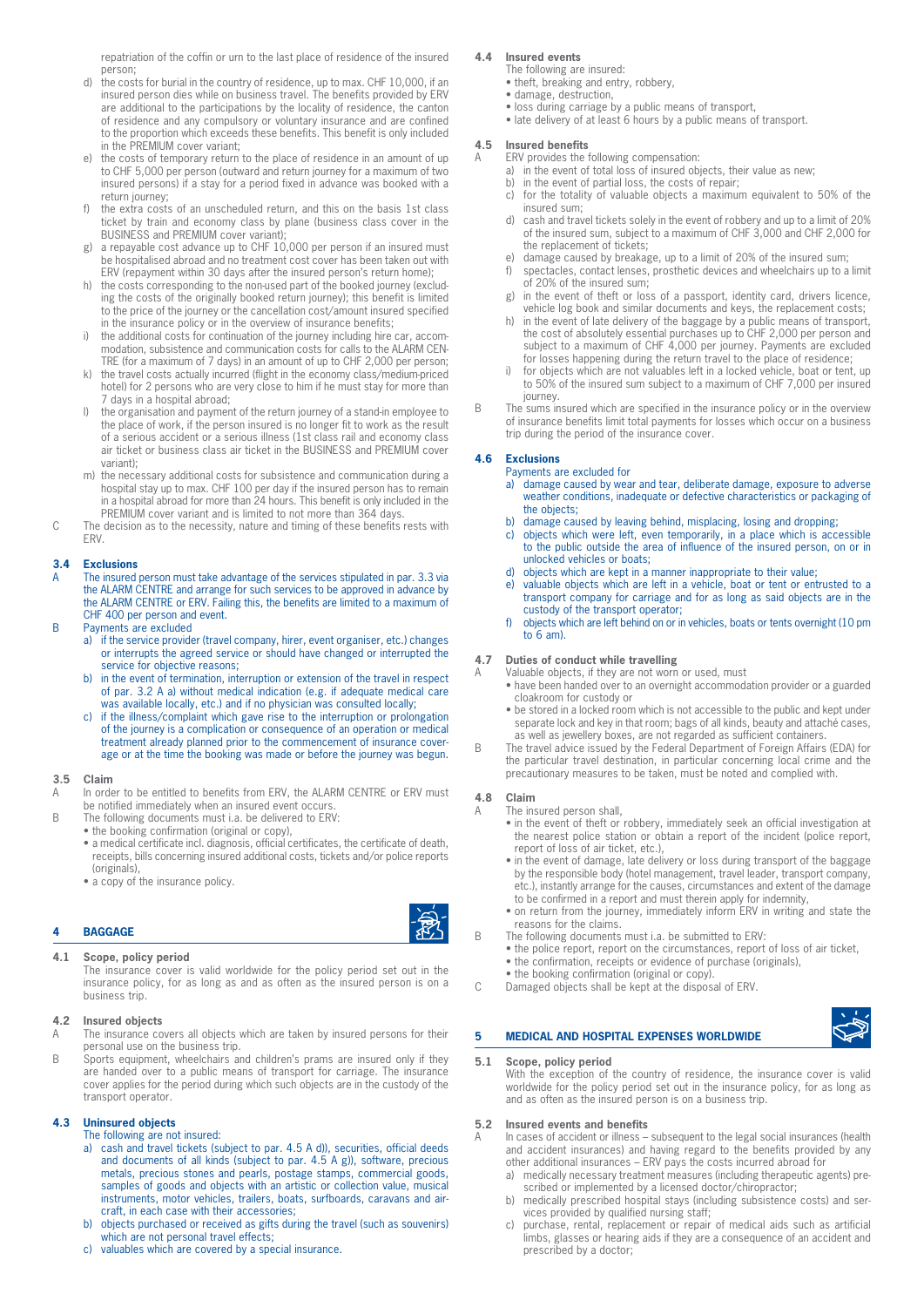repatriation of the coffin or urn to the last place of residence of the insured person;

- d) the costs for burial in the country of residence, up to max. CHF 10,000, if an insured person dies while on business travel. The benefits provided by ERV are additional to the participations by the locality of residence, the canton of residence and any compulsory or voluntary insurance and are confined to the proportion which exceeds these benefits. This benefit is only included in the PREMIUM cover variant;
- e) the costs of temporary return to the place of residence in an amount of up to CHF 5,000 per person (outward and return journey for a maximum of two insured persons) if a stay for a period fixed in advance was booked with a return journey;
- f) the extra costs of an unscheduled return, and this on the basis 1st class ticket by train and economy class by plane (business class cover in the BUSINESS and PREMIUM cover variant);
- g) a repayable cost advance up to CHF 10,000 per person if an insured must be hospitalised abroad and no treatment cost cover has been taken out with ERV (repayment within 30 days after the insured person's return home);
- h) the costs corresponding to the non-used part of the booked journey (excluding the costs of the originally booked return journey); this benefit is limited to the price of the journey or the cancellation cost/amount insured specified in the insurance policy or in the overview of insurance benefits;
- i) the additional costs for continuation of the journey including hire car, accommodation, subsistence and communication costs for calls to the ALARM CEN-TRE (for a maximum of 7 days) in an amount of up to CHF 2,000 per person;
- the travel costs actually incurred (flight in the economy class/medium-priced hotel) for 2 persons who are very close to him if he must stay for more than 7 days in a hospital abroad;
- l) the organisation and payment of the return journey of a stand-in employee to the place of work, if the person insured is no longer fit to work as the result of a serious accident or a serious illness (1st class rail and economy class air ticket or business class air ticket in the BUSINESS and PREMIUM cover variant);
- m) the necessary additional costs for subsistence and communication during a hospital stay up to max. CHF 100 per day if the insured person has to remain in a hospital abroad for more than 24 hours. This benefit is only included in the PREMIUM cover variant and is limited to not more than 364 days.
- C The decision as to the necessity, nature and timing of these benefits rests with **FRV.**

# **3.4 Exclusions**

The insured person must take advantage of the services stipulated in par. 3.3 via the ALARM CENTRE and arrange for such services to be approved in advance by the ALARM CENTRE or ERV. Failing this, the benefits are limited to a maximum of CHF 400 per person and event.

- B Payments are excluded
	- a) if the service provider (travel company, hirer, event organiser, etc.) changes or interrupts the agreed service or should have changed or interrupted the service for objective reasons;
	- b) in the event of termination, interruption or extension of the travel in respect of par. 3.2 A a) without medical indication (e.g. if adequate medical care was available locally, etc.) and if no physician was consulted locally;
	- c) if the illness/complaint which gave rise to the interruption or prolongation of the journey is a complication or consequence of an operation or medical treatment already planned prior to the commencement of insurance coverage or at the time the booking was made or before the journey was begun.

#### **3.5 Claim**

- A In order to be entitled to benefits from ERV, the ALARM CENTRE or ERV must be notified immediately when an insured event occurs.
- B The following documents must i.a. be delivered to ERV:
- the booking confirmation (original or copy),
	- a medical certificate incl. diagnosis, official certificates, the certificate of death, receipts, bills concerning insured additional costs, tickets and/or police reports (originals),
	- a copy of the insurance policy.

# **4 BAGGAGE**

# **4.1 Scope, policy period**

The insurance cover is valid worldwide for the policy period set out in the insurance policy, for as long as and as often as the insured person is on a business trip.

# **4.2 Insured objects**

- A The insurance covers all objects which are taken by insured persons for their personal use on the business trip.
- B Sports equipment, wheelchairs and children's prams are insured only if they are handed over to a public means of transport for carriage. The insurance cover applies for the period during which such objects are in the custody of the transport operator.

# **4.3 Uninsured objects**

- The following are not insured:
- a) cash and travel tickets (subject to par. 4.5 A d)), securities, official deeds and documents of all kinds (subject to par. 4.5 A g)), software, precious metals, precious stones and pearls, postage stamps, commercial goods, samples of goods and objects with an artistic or collection value, musical instruments, motor vehicles, trailers, boats, surfboards, caravans and aircraft, in each case with their accessories;
- b) objects purchased or received as gifts during the travel (such as souvenirs) which are not personal travel effects;
- c) valuables which are covered by a special insurance.

# **4.4 Insured events**

- The following are insured: • theft, breaking and entry, robbery,
- damage, destruction,
- loss during carriage by a public means of transport,
- late delivery of at least 6 hours by a public means of transport.

## **4.5 Insured benefits**

- A ERV provides the following compensation:
	- a) in the event of total loss of insured objects, their value as new;
	- b) in the event of partial loss, the costs of repair; for the totality of valuable objects a maximum equivalent to 50% of the
	- insured sum; d) cash and travel tickets solely in the event of robbery and up to a limit of 20%
	- of the insured sum, subject to a maximum of CHF 3,000 and CHF 2,000 for the replacement of tickets;
	- e) damage caused by breakage, up to a limit of 20% of the insured sum;<br>f) spectacles, contact lenses, prosthetic devices and wheelchairs up to a
	- spectacles, contact lenses, prosthetic devices and wheelchairs up to a limit of 20% of the insured sum;
	- g) in the event of theft or loss of a passport, identity card, drivers licence, vehicle log book and similar documents and keys, the replacement costs;
	- h) in the event of late delivery of the baggage by a public means of transport, the cost of absolutely essential purchases up to CHF 2,000 per person and subject to a maximum of CHF 4,000 per journey. Payments are excluded for losses happening during the return travel to the place of residence;
	- i) for objects which are not valuables left in a locked vehicle, boat or tent, up to 50% of the insured sum subject to a maximum of CHF 7,000 per insured journey.
- The sums insured which are specified in the insurance policy or in the overview of insurance benefits limit total payments for losses which occur on a business trip during the period of the insurance cover.

# **4.6 Exclusions**

Payments are excluded for

- a) damage caused by wear and tear, deliberate damage, exposure to adverse weather conditions, inadequate or defective characteristics or packaging of the objects;
- b) damage caused by leaving behind, misplacing, losing and dropping;
- c) objects which were left, even temporarily, in a place which is accessible to the public outside the area of influence of the insured person, on or in unlocked vehicles or boats;
- d) objects which are kept in a manner inappropriate to their value;
- e) valuable objects which are left in a vehicle, boat or tent or entrusted to a transport company for carriage and for as long as said objects are in the custody of the transport operator;
- f) objects which are left behind on or in vehicles, boats or tents overnight (10 pm to 6 am).

#### **4.7 Duties of conduct while travelling**

- A Valuable objects, if they are not worn or used, must
	- have been handed over to an overnight accommodation provider or a guarded cloakroom for custody or
	- be stored in a locked room which is not accessible to the public and kept under separate lock and key in that room; bags of all kinds, beauty and attaché cases, as well as jewellery boxes, are not regarded as sufficient containers.
- B The travel advice issued by the Federal Department of Foreign Affairs (EDA) for the particular travel destination, in particular concerning local crime and the precautionary measures to be taken, must be noted and complied with.

# **4.8 Claim**

- The insured person shall,
	- in the event of theft or robbery, immediately seek an official investigation at the nearest police station or obtain a report of the incident (police report, report of loss of air ticket, etc.),
	- in the event of damage, late delivery or loss during transport of the baggage by the responsible body (hotel management, travel leader, transport company, etc.), instantly arrange for the causes, circumstances and extent of the damage to be confirmed in a report and must therein apply for indemnity,
	- on return from the journey, immediately inform ERV in writing and state the reasons for the claims.
- B The following documents must i.a. be submitted to ERV:
	- the police report, report on the circumstances, report of loss of air ticket,
	- the confirmation, receipts or evidence of purchase (originals),
- the booking confirmation (original or copy). C Damaged objects shall be kept at the disposal of ERV.

# **5 MEDICAL AND HOSPITAL EXPENSES WORLDWIDE**

#### **5.1 Scope, policy period**

With the exception of the country of residence, the insurance cover is valid worldwide for the policy period set out in the insurance policy, for as long as and as often as the insured person is on a business trip.

## **5.2 Insured events and benefits**

- In cases of accident or illness subsequent to the legal social insurances (health and accident insurances) and having regard to the benefits provided by any other additional insurances – ERV pays the costs incurred abroad for
	- a) medically necessary treatment measures (including therapeutic agents) prescribed or implemented by a licensed doctor/chiropractor;
	- b) medically prescribed hospital stays (including subsistence costs) and services provided by qualified nursing staff;
	- c) purchase, rental, replacement or repair of medical aids such as artificial limbs, glasses or hearing aids if they are a consequence of an accident and prescribed by a doctor;

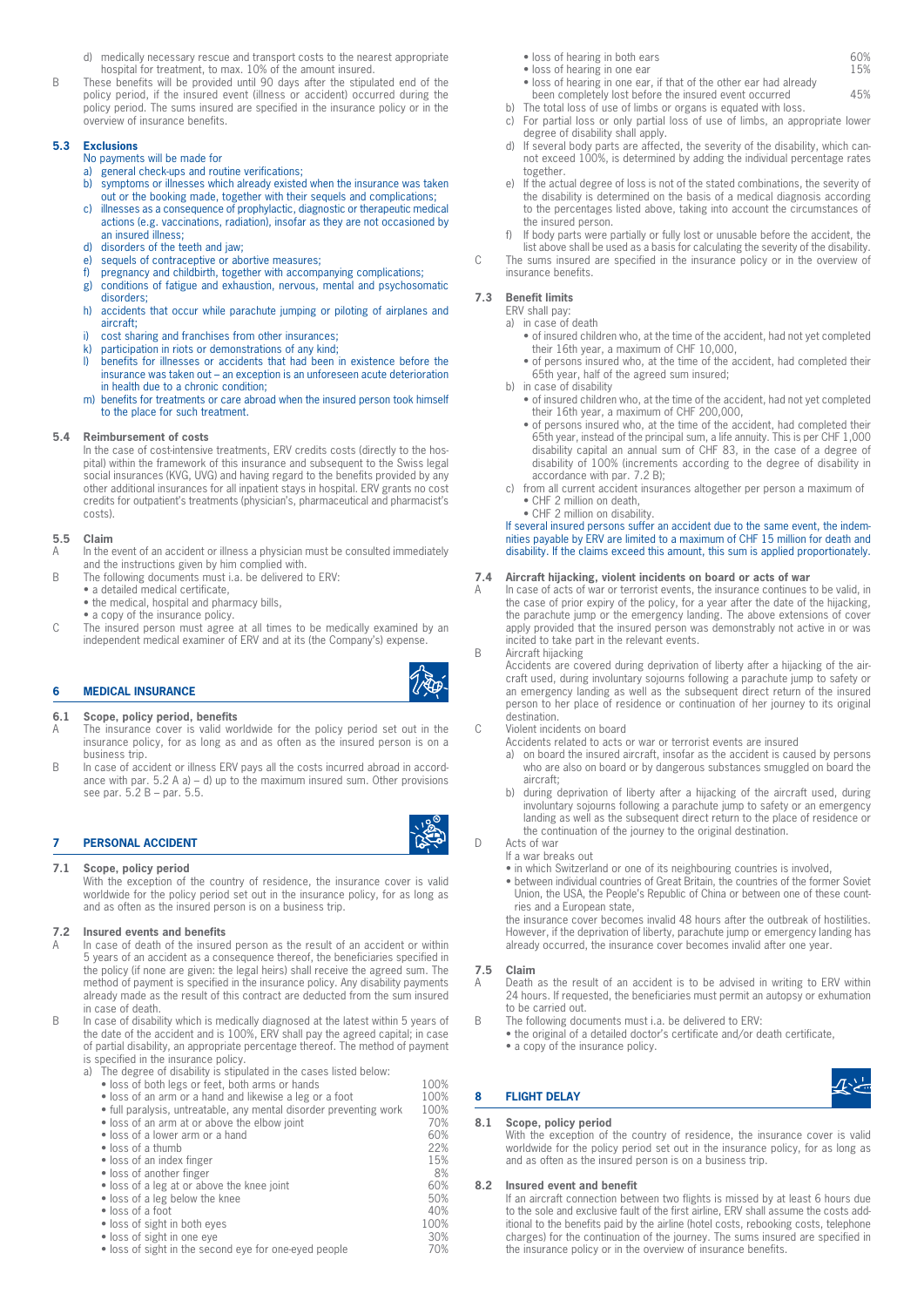- d) medically necessary rescue and transport costs to the nearest appropriate hospital for treatment, to max. 10% of the amount insured.
- B These benefits will be provided until 90 days after the stipulated end of the policy period, if the insured event (illness or accident) occurred during the policy period. The sums insured are specified in the insurance policy or in the overview of insurance benefits.

# **5.3 Exclusions**

# No payments will be made for

- a) general check-ups and routine verifications;
- b) symptoms or illnesses which already existed when the insurance was taken out or the booking made, together with their sequels and complications;
- c) illnesses as a consequence of prophylactic, diagnostic or therapeutic medical actions (e.g. vaccinations, radiation), insofar as they are not occasioned by an insured illness;
- d) disorders of the teeth and jaw;<br>e) sequels of contraceptive or abo
- sequels of contraceptive or abortive measures;
- f) pregnancy and childbirth, together with accompanying complications;
- g) conditions of fatigue and exhaustion, nervous, mental and psychosomatic disorders;
- h) accidents that occur while parachute jumping or piloting of airplanes and aircraft;
- i) cost sharing and franchises from other insurances;<br>k) participation in riots or demonstrations of any kind:
- k) participation in riots or demonstrations of any kind;<br>I) benefits for illnesses or accidents that had been
- benefits for illnesses or accidents that had been in existence before the insurance was taken out – an exception is an unforeseen acute deterioration in health due to a chronic condition;
- m) benefits for treatments or care abroad when the insured person took himself to the place for such treatment.

#### **5.4 Reimbursement of costs**

In the case of cost-intensive treatments, ERV credits costs (directly to the hospital) within the framework of this insurance and subsequent to the Swiss legal social insurances (KVG, UVG) and having regard to the benefits provided by any other additional insurances for all inpatient stays in hospital. ERV grants no cost credits for outpatient's treatments (physician's, pharmaceutical and pharmacist's costs).

# **5.5 Claim**

- A In the event of an accident or illness a physician must be consulted immediately and the instructions given by him complied with.
- B The following documents must i.a. be delivered to ERV:
	- a detailed medical certificate, • the medical, hospital and pharmacy bills,
		- a copy of the insurance policy.
- C The insured person must agree at all times to be medically examined by an independent medical examiner of ERV and at its (the Company's) expense.

# **6 MEDICAL INSURANCE**

# **6.1 Scope, policy period, benefits**

- A The insurance cover is valid worldwide for the policy period set out in the insurance policy, for as long as and as often as the insured person is on a business trip.
- B In case of accident or illness ERV pays all the costs incurred abroad in accordance with par.  $5.2$  A a) – d) up to the maximum insured sum. Other provisions see par. 5.2 B – par. 5.5.

# **7 PERSONAL ACCIDENT**

# **7.1 Scope, policy period**

With the exception of the country of residence, the insurance cover is valid worldwide for the policy period set out in the insurance policy, for as long as and as often as the insured person is on a business trip.

### **7.2 Insured events and benefits**

- In case of death of the insured person as the result of an accident or within 5 years of an accident as a consequence thereof, the beneficiaries specified in the policy (if none are given: the legal heirs) shall receive the agreed sum. The method of payment is specified in the insurance policy. Any disability payments already made as the result of this contract are deducted from the sum insured in case of death.
- B In case of disability which is medically diagnosed at the latest within 5 years of the date of the accident and is 100%, ERV shall pay the agreed capital; in case of partial disability, an appropriate percentage thereof. The method of payment is specified in the insurance policy.
	- a) The degree of disability is stipulated in the cases listed below:
		-
		- loss of both legs or feet, both arms or hands 100%<br>• loss of an arm or a hand and likewise a leg or a foot 100% • loss of an arm or a hand and likewise a leg or a foot 100%<br>• full paralysis, untreatable, any mental disorder preventing work 100% • full paralysis, untreatable, any mental disorder preventing work 100%<br>• loss of an arm at or above the elbow ioint 10% • loss of an arm at or above the elbow joint • loss of a lower arm or a hand 60% • loss of a thumb 22% • loss of an index finger • loss of another finger 8% 8% **8%**<br>• loss of a leg at or above the knee joint 60% • loss of a leg at or above the knee joint 60% • loss of a leg below the knee 50%
		-
		- loss of a foot<br>
		 loss of sight in both eyes<br>
		100%
		- loss of sight in both eyes 100% **100%** 100% **100%**
		- loss of sight in one eye 30% 30% **and Solutions** 30% **30%** • loss of sight in the second eye for one-eyed people
- loss of hearing in both ears 60%
- loss of hearing in one ear 15%
- loss of hearing in one ear, if that of the other ear had already been completely lost before the insured event occurred 45%
- b) The total loss of use of limbs or organs is equated with loss.
- c) For partial loss or only partial loss of use of limbs, an appropriate lower degree of disability shall apply.
- d) If several body parts are affected, the severity of the disability, which cannot exceed 100%, is determined by adding the individual percentage rates together.
- e) If the actual degree of loss is not of the stated combinations, the severity of the disability is determined on the basis of a medical diagnosis according to the percentages listed above, taking into account the circumstances of the insured person.
- If body parts were partially or fully lost or unusable before the accident, the
- list above shall be used as a basis for calculating the severity of the disability. C The sums insured are specified in the insurance policy or in the overview of insurance benefits.

# **7.3 Benefit limits**

- ERV shall pay:
- a) in case of death
	- of insured children who, at the time of the accident, had not yet completed their 16th year, a maximum of CHF 10,000,
	- of persons insured who, at the time of the accident, had completed their 65th year, half of the agreed sum insured;
- b) in case of disability
	- of insured children who, at the time of the accident, had not yet completed their 16th year, a maximum of CHF 200,000,
	- of persons insured who, at the time of the accident, had completed their 65th year, instead of the principal sum, a life annuity. This is per CHF 1,000 disability capital an annual sum of CHF 83, in the case of a degree of disability of 100% (increments according to the degree of disability in accordance with par. 7.2 B);
- c) from all current accident insurances altogether per person a maximum of • CHF 2 million on death,
	- CHF 2 million on disability.

# If several insured persons suffer an accident due to the same event, the indemnities payable by ERV are limited to a maximum of CHF 15 million for death and disability. If the claims exceed this amount, this sum is applied proportionately.

# **7.4 Aircraft hijacking, violent incidents on board or acts of war**

In case of acts of war or terrorist events, the insurance continues to be valid, in the case of prior expiry of the policy, for a year after the date of the hijacking, the parachute jump or the emergency landing. The above extensions of cover apply provided that the insured person was demonstrably not active in or was incited to take part in the relevant events.

B Aircraft hijacking

Accidents are covered during deprivation of liberty after a hijacking of the aircraft used, during involuntary sojourns following a parachute jump to safety or an emergency landing as well as the subsequent direct return of the insured person to her place of residence or continuation of her journey to its original destination.

#### C Violent incidents on board

Accidents related to acts or war or terrorist events are insured

- a) on board the insured aircraft, insofar as the accident is caused by persons who are also on board or by dangerous substances smuggled on board the aircraft;
- b) during deprivation of liberty after a hijacking of the aircraft used, during involuntary sojourns following a parachute jump to safety or an emergency landing as well as the subsequent direct return to the place of residence or the continuation of the journey to the original destination.
- D Acts of war
	- If a war breaks out
	- in which Switzerland or one of its neighbouring countries is involved,
		- between individual countries of Great Britain, the countries of the former Soviet Union, the USA, the People's Republic of China or between one of these countries and a European state,

the insurance cover becomes invalid 48 hours after the outbreak of hostilities. However, if the deprivation of liberty, parachute jump or emergency landing has already occurred, the insurance cover becomes invalid after one year.

#### **7.5 Claim**

- A Death as the result of an accident is to be advised in writing to ERV within 24 hours. If requested, the beneficiaries must permit an autopsy or exhumation to be carried out.
- B The following documents must i.a. be delivered to ERV:
	- the original of a detailed doctor's certificate and/or death certificate, • a copy of the insurance policy.
		-

# **8.1 Scope, policy period**

**8 FLIGHT DELAY** 

With the exception of the country of residence, the insurance cover is valid worldwide for the policy period set out in the insurance policy, for as long as and as often as the insured person is on a business trip.

#### **8.2 Insured event and benefit**

If an aircraft connection between two flights is missed by at least 6 hours due to the sole and exclusive fault of the first airline, ERV shall assume the costs additional to the benefits paid by the airline (hotel costs, rebooking costs, telephone charges) for the continuation of the journey. The sums insured are specified in the insurance policy or in the overview of insurance benefits.







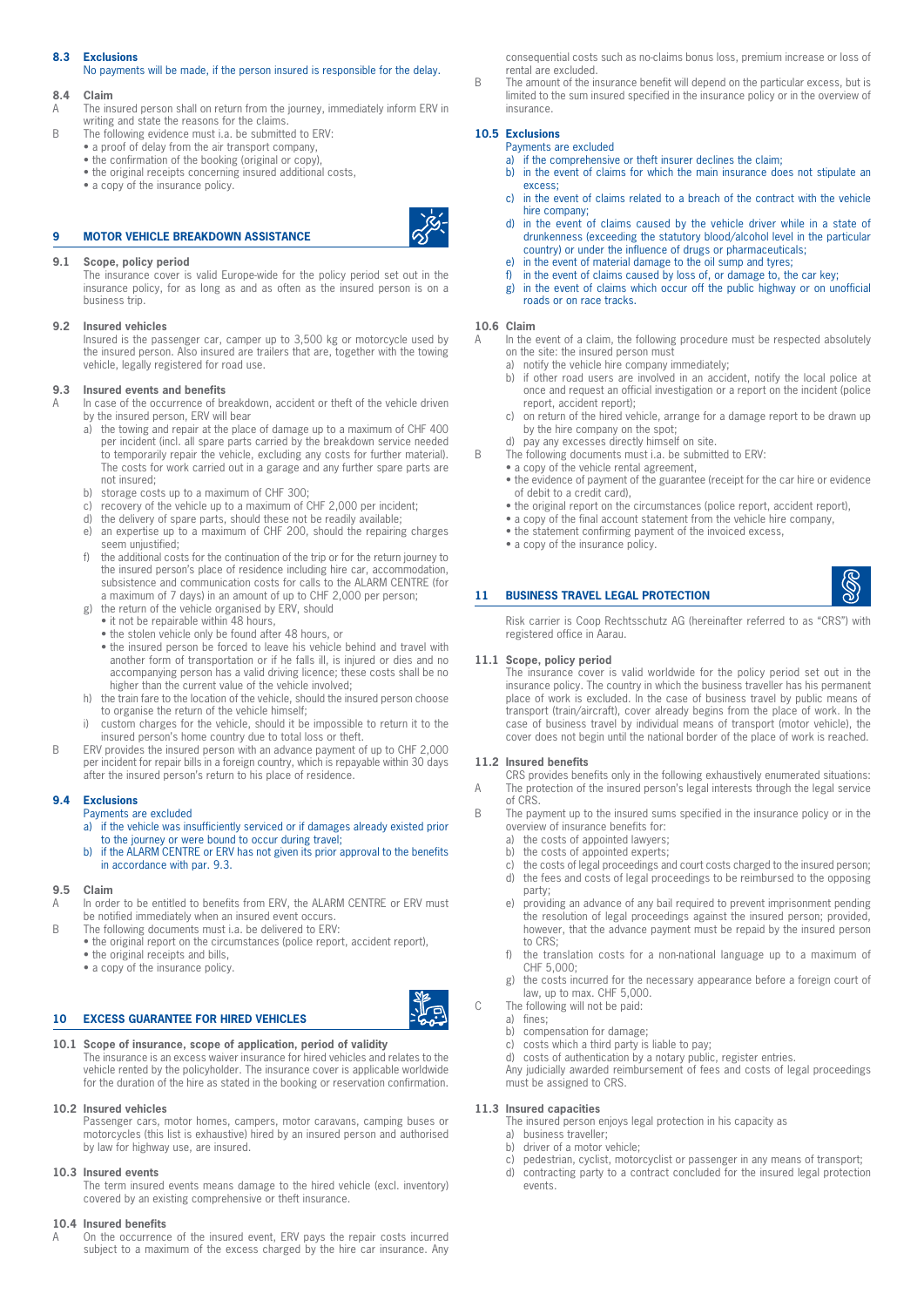# **8.3 Exclusions**

No payments will be made, if the person insured is responsible for the delay.

# **8.4 Claim**

- A The insured person shall on return from the journey, immediately inform ERV in writing and state the reasons for the claims.
- B The following evidence must i.a. be submitted to ERV:
	- a proof of delay from the air transport company,
	- the confirmation of the booking (original or copy), • the original receipts concerning insured additional costs,
	- a copy of the insurance policy.

# **9 MOTOR VEHICLE BREAKDOWN ASSISTANCE**



The insurance cover is valid Europe-wide for the policy period set out in the insurance policy, for as long as and as often as the insured person is on a business trip.

#### **9.2 Insured vehicles**

Insured is the passenger car, camper up to 3,500 kg or motorcycle used by the insured person. Also insured are trailers that are, together with the towing vehicle, legally registered for road use.

#### **9.3 Insured events and benefits**

A In case of the occurrence of breakdown, accident or theft of the vehicle driven by the insured person, ERV will bear

- a) the towing and repair at the place of damage up to a maximum of CHF 400 per incident (incl. all spare parts carried by the breakdown service needed to temporarily repair the vehicle, excluding any costs for further material). The costs for work carried out in a garage and any further spare parts are not insured;
- b) storage costs up to a maximum of CHF 300;
- c) recovery of the vehicle up to a maximum of CHF 2,000 per incident:
- d) the delivery of spare parts, should these not be readily available;<br>e) an expertise up to a maximum of CHF 200, should the repairing
- an expertise up to a maximum of CHF 200, should the repairing charges seem unjustified;
- f) the additional costs for the continuation of the trip or for the return journey to the insured person's place of residence including hire car, accommodation, subsistence and communication costs for calls to the ALARM CENTRE (for a maximum of 7 days) in an amount of up to CHF 2,000 per person;
- g) the return of the vehicle organised by ERV, should
	- it not be repairable within 48 hours,
	- the stolen vehicle only be found after 48 hours, or
	- the insured person be forced to leave his vehicle behind and travel with another form of transportation or if he falls ill, is injured or dies and no accompanying person has a valid driving licence; these costs shall be no higher than the current value of the vehicle involved;
- h) the train fare to the location of the vehicle, should the insured person choose to organise the return of the vehicle himself;
- i) custom charges for the vehicle, should it be impossible to return it to the insured person's home country due to total loss or theft.
- B ERV provides the insured person with an advance payment of up to CHF 2,000 per incident for repair bills in a foreign country, which is repayable within 30 days after the insured person's return to his place of residence.

#### **9.4 Exclusions**

Payments are excluded

- a) if the vehicle was insufficiently serviced or if damages already existed prior to the journey or were bound to occur during travel;
- b) if the ALARM CENTRE or ERV has not given its prior approval to the benefits in accordance with par. 9.3.

#### **9.5 Claim**

- In order to be entitled to benefits from ERV, the ALARM CENTRE or ERV must be notified immediately when an insured event occurs.
- B The following documents must i.a. be delivered to ERV: • the original report on the circumstances (police report, accident report), • the original receipts and bills,
	- a copy of the insurance policy.

# **10 EXCESS GUARANTEE FOR HIRED VEHICLES**

# **10.1 Scope of insurance, scope of application, period of validity**

The insurance is an excess waiver insurance for hired vehicles and relates to the vehicle rented by the policyholder. The insurance cover is applicable worldwide for the duration of the hire as stated in the booking or reservation confirmation.

# **10.2 Insured vehicles**

Passenger cars, motor homes, campers, motor caravans, camping buses or motorcycles (this list is exhaustive) hired by an insured person and authorised by law for highway use, are insured.

# **10.3 Insured events**

The term insured events means damage to the hired vehicle (excl. inventory) covered by an existing comprehensive or theft insurance.

# **10.4 Insured benefits**

On the occurrence of the insured event, ERV pays the repair costs incurred subject to a maximum of the excess charged by the hire car insurance. Any consequential costs such as no-claims bonus loss, premium increase or loss of rental are excluded.

B The amount of the insurance benefit will depend on the particular excess, but is limited to the sum insured specified in the insurance policy or in the overview of insurance.

# **10.5 Exclusions**

Payments are excluded

- a) if the comprehensive or theft insurer declines the claim; b) in the event of claims for which the main insurance does not stipulate an excess;
- c) in the event of claims related to a breach of the contract with the vehicle hire company;
- d) in the event of claims caused by the vehicle driver while in a state of drunkenness (exceeding the statutory blood/alcohol level in the particular country) or under the influence of drugs or pharmaceuticals;
- e) in the event of material damage to the oil sump and tyres;
- f) in the event of claims caused by loss of, or damage to, the car key;
- g) in the event of claims which occur off the public highway or on unofficial roads or on race tracks.

#### **10.6 Claim**

- A In the event of a claim, the following procedure must be respected absolutely on the site: the insured person must
	- a) notify the vehicle hire company immediately;
	- b) if other road users are involved in an accident, notify the local police at once and request an official investigation or a report on the incident (police report, accident report);
	- c) on return of the hired vehicle, arrange for a damage report to be drawn up by the hire company on the spot;
	- d) pay any excesses directly himself on site.
- B The following documents must i.a. be submitted to ERV:
	- a copy of the vehicle rental agreement,
	- the evidence of payment of the guarantee (receipt for the car hire or evidence of debit to a credit card),
	- the original report on the circumstances (police report, accident report).
	- a copy of the final account statement from the vehicle hire company,
	- the statement confirming payment of the invoiced excess,
	- a copy of the insurance policy.

#### **11 BUSINESS TRAVEL LEGAL PROTECTION**

Risk carrier is Coop Rechtsschutz AG (hereinafter referred to as "CRS") with registered office in Aarau.

# **11.1 Scope, policy period**

The insurance cover is valid worldwide for the policy period set out in the insurance policy. The country in which the business traveller has his permanent place of work is excluded. In the case of business travel by public means of transport (train/aircraft), cover already begins from the place of work. In the case of business travel by individual means of transport (motor vehicle), the cover does not begin until the national border of the place of work is reached.

#### **11.2 Insured benefits**

CRS provides benefits only in the following exhaustively enumerated situations: A The protection of the insured person's legal interests through the legal service

- of CRS. B The payment up to the insured sums specified in the insurance policy or in the
	- overview of insurance benefits for:
	- a) the costs of appointed lawyers;
	- b) the costs of appointed experts;
	-
	- c) the costs of legal proceedings and court costs charged to the insured person; d) the fees and costs of legal proceedings to be reimbursed to the opposing party;
	- e) providing an advance of any bail required to prevent imprisonment pending the resolution of legal proceedings against the insured person; provided, however, that the advance payment must be repaid by the insured person to CRS;
	- f) the translation costs for a non-national language up to a maximum of CHF 5,000;
	- g) the costs incurred for the necessary appearance before a foreign court of law, up to max. CHF 5,000.
- C The following will not be paid:
	- a) fines;
	- b) compensation for damage;
	- c) costs which a third party is liable to pay;

d) costs of authentication by a notary public, register entries. Any judicially awarded reimbursement of fees and costs of legal proceedings must be assigned to CRS.

#### **11.3 Insured capacities**

The insured person enjoys legal protection in his capacity as a) business traveller;

- b) driver of a motor vehicle;
- c) pedestrian, cyclist, motorcyclist or passenger in any means of transport;
- d) contracting party to a contract concluded for the insured legal protection events.

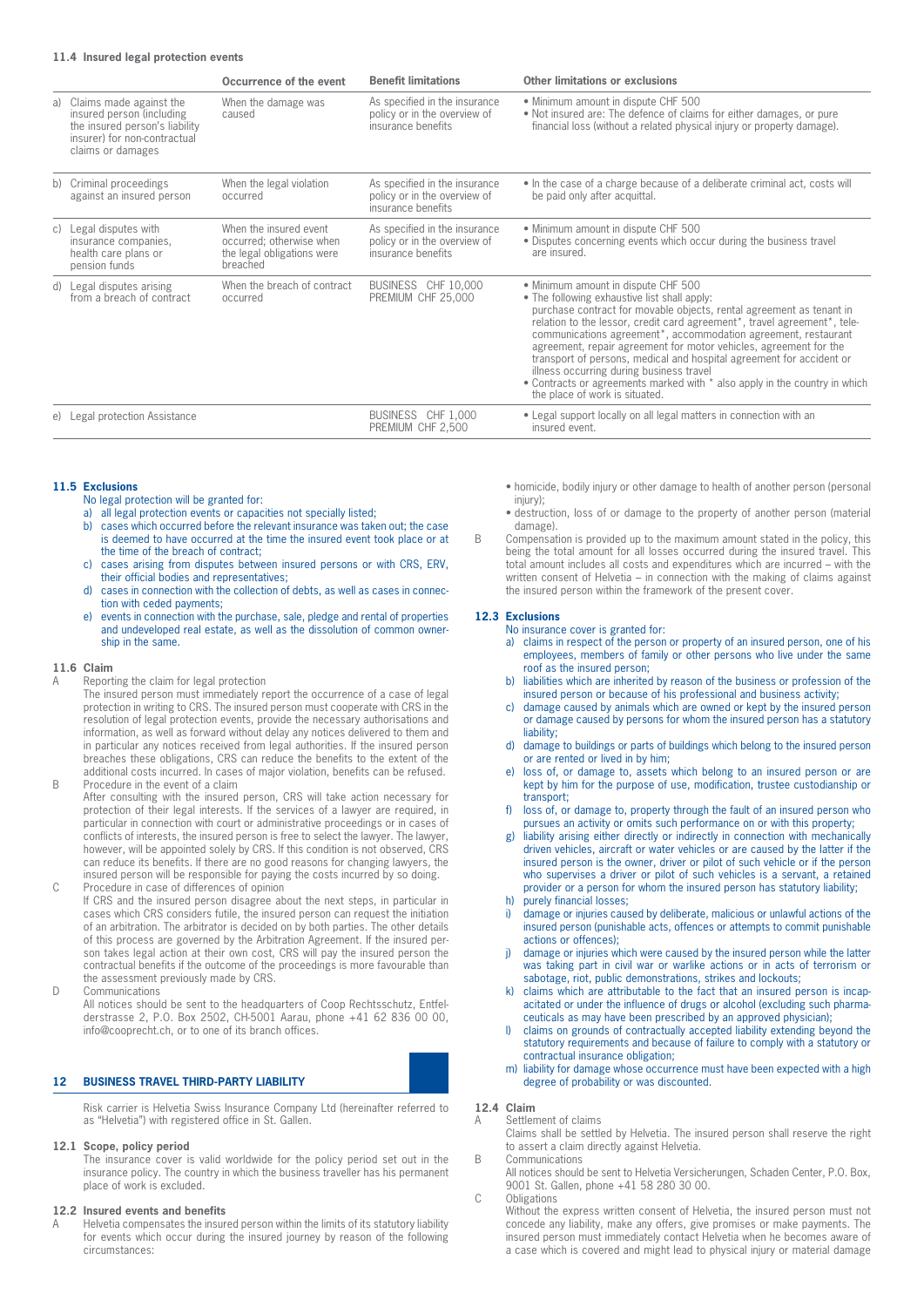# **11.4 Insured legal protection events**

|                                                                                                                                                | Occurrence of the event                                                                      | <b>Benefit limitations</b>                                                          | Other limitations or exclusions                                                                                                                                                                                                                                                                                                                                                                                                                                                                                                                                                                                                                           |
|------------------------------------------------------------------------------------------------------------------------------------------------|----------------------------------------------------------------------------------------------|-------------------------------------------------------------------------------------|-----------------------------------------------------------------------------------------------------------------------------------------------------------------------------------------------------------------------------------------------------------------------------------------------------------------------------------------------------------------------------------------------------------------------------------------------------------------------------------------------------------------------------------------------------------------------------------------------------------------------------------------------------------|
| a) Claims made against the<br>insured person (including<br>the insured person's liability<br>insurer) for non-contractual<br>claims or damages | When the damage was<br>caused                                                                | As specified in the insurance<br>policy or in the overview of<br>insurance benefits | • Minimum amount in dispute CHF 500<br>• Not insured are: The defence of claims for either damages, or pure<br>financial loss (without a related physical injury or property damage).                                                                                                                                                                                                                                                                                                                                                                                                                                                                     |
| b) Criminal proceedings<br>against an insured person                                                                                           | When the legal violation<br>occurred                                                         | As specified in the insurance<br>policy or in the overview of<br>insurance benefits | • In the case of a charge because of a deliberate criminal act, costs will<br>be paid only after acquittal.                                                                                                                                                                                                                                                                                                                                                                                                                                                                                                                                               |
| c) Legal disputes with<br>insurance companies,<br>health care plans or<br>pension funds                                                        | When the insured event<br>occurred; otherwise when<br>the legal obligations were<br>breached | As specified in the insurance<br>policy or in the overview of<br>insurance benefits | • Minimum amount in dispute CHF 500<br>• Disputes concerning events which occur during the business travel<br>are insured.                                                                                                                                                                                                                                                                                                                                                                                                                                                                                                                                |
| d) Legal disputes arising<br>from a breach of contract                                                                                         | When the breach of contract<br>occurred                                                      | BUSINESS CHF 10.000<br>PREMIUM CHF 25,000                                           | • Minimum amount in dispute CHF 500<br>• The following exhaustive list shall apply:<br>purchase contract for movable objects, rental agreement as tenant in<br>relation to the lessor, credit card agreement <sup>*</sup> , travel agreement <sup>*</sup> , tele-<br>communications agreement <sup>*</sup> , accommodation agreement, restaurant<br>agreement, repair agreement for motor vehicles, agreement for the<br>transport of persons, medical and hospital agreement for accident or<br>illness occurring during business travel<br>• Contracts or agreements marked with * also apply in the country in which<br>the place of work is situated. |
| e) Legal protection Assistance                                                                                                                 |                                                                                              | BUSINESS CHF 1,000<br>PREMIUM CHF 2,500                                             | • Legal support locally on all legal matters in connection with an<br>insured event.                                                                                                                                                                                                                                                                                                                                                                                                                                                                                                                                                                      |

#### **11.5 Exclusions**

- No legal protection will be granted for:
- a) all legal protection events or capacities not specially listed;
- b) cases which occurred before the relevant insurance was taken out; the case is deemed to have occurred at the time the insured event took place or at the time of the breach of contract;
- c) cases arising from disputes between insured persons or with CRS, ERV, their official bodies and representatives;
- d) cases in connection with the collection of debts, as well as cases in connection with ceded payments;
- e) events in connection with the purchase, sale, pledge and rental of properties and undeveloped real estate, as well as the dissolution of common ownership in the same.

# **11.6 Claim**

A Reporting the claim for legal protection

The insured person must immediately report the occurrence of a case of legal protection in writing to CRS. The insured person must cooperate with CRS in the resolution of legal protection events, provide the necessary authorisations and information, as well as forward without delay any notices delivered to them and in particular any notices received from legal authorities. If the insured person breaches these obligations, CRS can reduce the benefits to the extent of the additional costs incurred. In cases of major violation, benefits can be refused. B Procedure in the event of a claim

After consulting with the insured person, CRS will take action necessary for protection of their legal interests. If the services of a lawyer are required, in particular in connection with court or administrative proceedings or in cases of conflicts of interests, the insured person is free to select the lawyer. The lawyer, however, will be appointed solely by CRS. If this condition is not observed, CRS can reduce its benefits. If there are no good reasons for changing lawyers, the insured person will be responsible for paying the costs incurred by so doing.

- C Procedure in case of differences of opinion If CRS and the insured person disagree about the next steps, in particular in cases which CRS considers futile, the insured person can request the initiation of an arbitration. The arbitrator is decided on by both parties. The other details of this process are governed by the Arbitration Agreement. If the insured person takes legal action at their own cost, CRS will pay the insured person the contractual benefits if the outcome of the proceedings is more favourable than the assessment previously made by CRS.
- D Communications

All notices should be sent to the headquarters of Coop Rechtsschutz, Entfelderstrasse 2, P.O. Box 2502, CH-5001 Aarau, phone +41 62 836 00 00, info@cooprecht.ch, or to one of its branch offices.

# **12 BUSINESS TRAVEL THIRD-PARTY LIABILITY**

Risk carrier is Helvetia Swiss Insurance Company Ltd (hereinafter referred to as "Helvetia") with registered office in St. Gallen.

## **12.1 Scope, policy period**

The insurance cover is valid worldwide for the policy period set out in the insurance policy. The country in which the business traveller has his permanent place of work is excluded.

# **12.2 Insured events and benefits**

A Helvetia compensates the insured person within the limits of its statutory liability for events which occur during the insured journey by reason of the following circumstances:

- homicide, bodily injury or other damage to health of another person (personal injury);
- destruction, loss of or damage to the property of another person (material damage).
- B Compensation is provided up to the maximum amount stated in the policy, this being the total amount for all losses occurred during the insured travel. This total amount includes all costs and expenditures which are incurred – with the written consent of Helvetia – in connection with the making of claims against the insured person within the framework of the present cover.

#### **12.3 Exclusions**

No insurance cover is granted for:

- a) claims in respect of the person or property of an insured person, one of his employees, members of family or other persons who live under the same roof as the insured person;
- b) liabilities which are inherited by reason of the business or profession of the insured person or because of his professional and business activity;
- c) damage caused by animals which are owned or kept by the insured person or damage caused by persons for whom the insured person has a statutory liability;
- d) damage to buildings or parts of buildings which belong to the insured person or are rented or lived in by him;
- e) loss of, or damage to, assets which belong to an insured person or are kept by him for the purpose of use, modification, trustee custodianship or transport;
- loss of, or damage to, property through the fault of an insured person who pursues an activity or omits such performance on or with this property;
- liability arising either directly or indirectly in connection with mechanically driven vehicles, aircraft or water vehicles or are caused by the latter if the insured person is the owner, driver or pilot of such vehicle or if the person who supervises a driver or pilot of such vehicles is a servant, a retained provider or a person for whom the insured person has statutory liability;
- purely financial losses;
- damage or injuries caused by deliberate, malicious or unlawful actions of the insured person (punishable acts, offences or attempts to commit punishable actions or offences);
- j) damage or injuries which were caused by the insured person while the latter was taking part in civil war or warlike actions or in acts of terrorism or sabotage, riot, public demonstrations, strikes and lockouts;
- k) claims which are attributable to the fact that an insured person is incapacitated or under the influence of drugs or alcohol (excluding such pharmaceuticals as may have been prescribed by an approved physician);
- l) claims on grounds of contractually accepted liability extending beyond the statutory requirements and because of failure to comply with a statutory or contractual insurance obligation;
- m) liability for damage whose occurrence must have been expected with a high degree of probability or was discounted.

# **12.4 Claim**

A Settlement of claims Claims shall be settled by Helvetia. The insured person shall reserve the right to assert a claim directly against Helvetia.

B Communications

All notices should be sent to Helvetia Versicherungen, Schaden Center, P.O. Box, 9001 St. Gallen, phone +41 58 280 30 00.

C Obligations

Without the express written consent of Helvetia, the insured person must not concede any liability, make any offers, give promises or make payments. The insured person must immediately contact Helvetia when he becomes aware of a case which is covered and might lead to physical injury or material damage